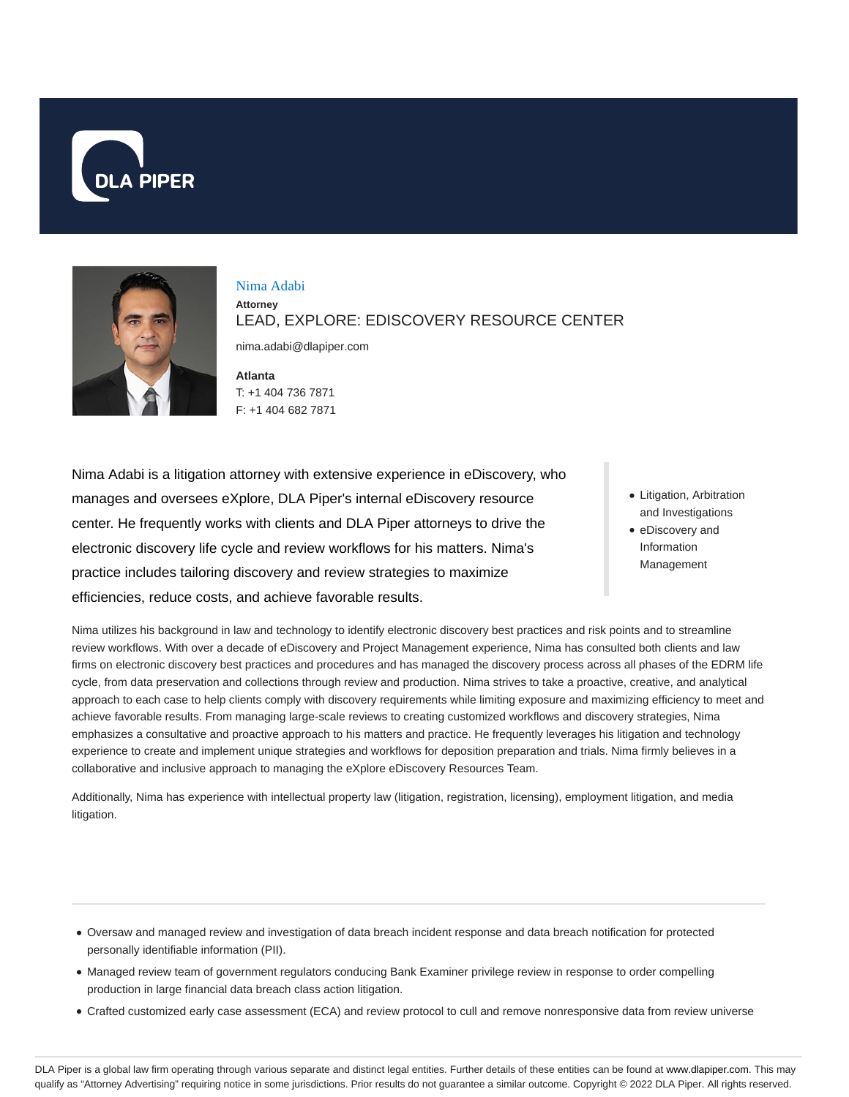



## Nima Adabi

**Attorney** LEAD, EXPLORE: EDISCOVERY RESOURCE CENTER

nima.adabi@dlapiper.com

**Atlanta** T: +1 404 736 7871 F: +1 404 682 7871

Nima Adabi is a litigation attorney with extensive experience in eDiscovery, who manages and oversees eXplore, DLA Piper's internal eDiscovery resource center. He frequently works with clients and DLA Piper attorneys to drive the electronic discovery life cycle and review workflows for his matters. Nima's practice includes tailoring discovery and review strategies to maximize efficiencies, reduce costs, and achieve favorable results.

- Litigation, Arbitration and Investigations
- eDiscovery and Information Management

Nima utilizes his background in law and technology to identify electronic discovery best practices and risk points and to streamline review workflows. With over a decade of eDiscovery and Project Management experience, Nima has consulted both clients and law firms on electronic discovery best practices and procedures and has managed the discovery process across all phases of the EDRM life cycle, from data preservation and collections through review and production. Nima strives to take a proactive, creative, and analytical approach to each case to help clients comply with discovery requirements while limiting exposure and maximizing efficiency to meet and achieve favorable results. From managing large-scale reviews to creating customized workflows and discovery strategies, Nima emphasizes a consultative and proactive approach to his matters and practice. He frequently leverages his litigation and technology experience to create and implement unique strategies and workflows for deposition preparation and trials. Nima firmly believes in a collaborative and inclusive approach to managing the eXplore eDiscovery Resources Team.

Additionally, Nima has experience with intellectual property law (litigation, registration, licensing), employment litigation, and media litigation.

- Oversaw and managed review and investigation of data breach incident response and data breach notification for protected personally identifiable information (PII).
- Managed review team of government regulators conducing Bank Examiner privilege review in response to order compelling production in large financial data breach class action litigation.
- Crafted customized early case assessment (ECA) and review protocol to cull and remove nonresponsive data from review universe

DLA Piper is a global law firm operating through various separate and distinct legal entities. Further details of these entities can be found at www.dlapiper.com. This may qualify as "Attorney Advertising" requiring notice in some jurisdictions. Prior results do not guarantee a similar outcome. Copyright © 2022 DLA Piper. All rights reserved.